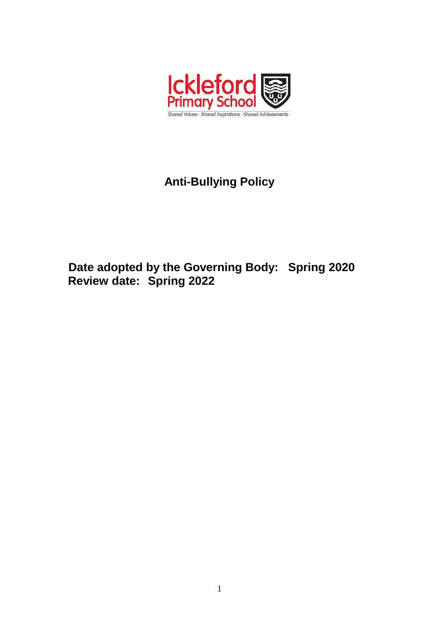

# **Anti-Bullying Policy**

## **Date adopted by the Governing Body: Spring 2020 Review date: Spring 2022**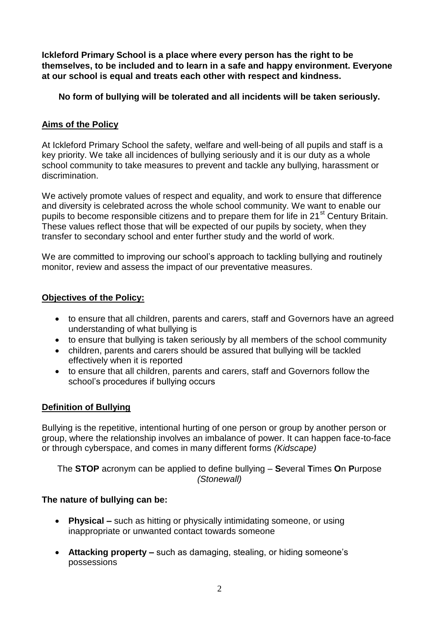**Ickleford Primary School is a place where every person has the right to be themselves, to be included and to learn in a safe and happy environment. Everyone at our school is equal and treats each other with respect and kindness.**

**No form of bullying will be tolerated and all incidents will be taken seriously.**

### **Aims of the Policy**

At Ickleford Primary School the safety, welfare and well-being of all pupils and staff is a key priority. We take all incidences of bullying seriously and it is our duty as a whole school community to take measures to prevent and tackle any bullying, harassment or discrimination.

We actively promote values of respect and equality, and work to ensure that difference and diversity is celebrated across the whole school community. We want to enable our pupils to become responsible citizens and to prepare them for life in  $21<sup>st</sup>$  Century Britain. These values reflect those that will be expected of our pupils by society, when they transfer to secondary school and enter further study and the world of work.

We are committed to improving our school's approach to tackling bullying and routinely monitor, review and assess the impact of our preventative measures.

#### **Objectives of the Policy:**

- to ensure that all children, parents and carers, staff and Governors have an agreed understanding of what bullying is
- to ensure that bullying is taken seriously by all members of the school community
- children, parents and carers should be assured that bullying will be tackled effectively when it is reported
- to ensure that all children, parents and carers, staff and Governors follow the school's procedures if bullying occurs

#### **Definition of Bullying**

Bullying is the repetitive, intentional hurting of one person or group by another person or group, where the relationship involves an imbalance of power. It can happen face-to-face or through cyberspace, and comes in many different forms *(Kidscape)*

The **STOP** acronym can be applied to define bullying – **S**everal **T**imes **O**n **P**urpose *(Stonewall)*

## **The nature of bullying can be:**

- **Physical –** such as hitting or physically intimidating someone, or using inappropriate or unwanted contact towards someone
- **Attacking property –** such as damaging, stealing, or hiding someone's possessions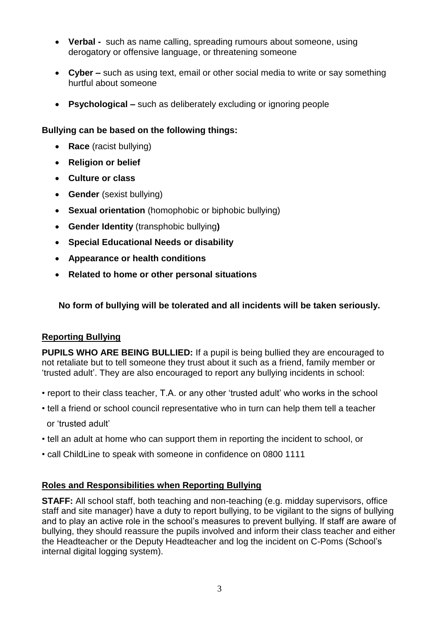- **Verbal -** such as name calling, spreading rumours about someone, using derogatory or offensive language, or threatening someone
- **Cyber –** such as using text, email or other social media to write or say something hurtful about someone
- **Psychological –** such as deliberately excluding or ignoring people

#### **Bullying can be based on the following things:**

- **Race** (racist bullying)
- **Religion or belief**
- **Culture or class**
- **Gender** (sexist bullying)
- **Sexual orientation** (homophobic or biphobic bullying)
- **Gender Identity** (transphobic bullying**)**
- **Special Educational Needs or disability**
- **Appearance or health conditions**
- **Related to home or other personal situations**

**No form of bullying will be tolerated and all incidents will be taken seriously.**

#### **Reporting Bullying**

**PUPILS WHO ARE BEING BULLIED:** If a pupil is being bullied they are encouraged to not retaliate but to tell someone they trust about it such as a friend, family member or 'trusted adult'. They are also encouraged to report any bullying incidents in school:

- report to their class teacher, T.A. or any other 'trusted adult' who works in the school
- tell a friend or school council representative who in turn can help them tell a teacher or 'trusted adult'
- tell an adult at home who can support them in reporting the incident to school, or
- call ChildLine to speak with someone in confidence on 0800 1111

#### **Roles and Responsibilities when Reporting Bullying**

**STAFF:** All school staff, both teaching and non-teaching (e.g. midday supervisors, office staff and site manager) have a duty to report bullying, to be vigilant to the signs of bullying and to play an active role in the school's measures to prevent bullying. If staff are aware of bullying, they should reassure the pupils involved and inform their class teacher and either the Headteacher or the Deputy Headteacher and log the incident on C-Poms (School's internal digital logging system).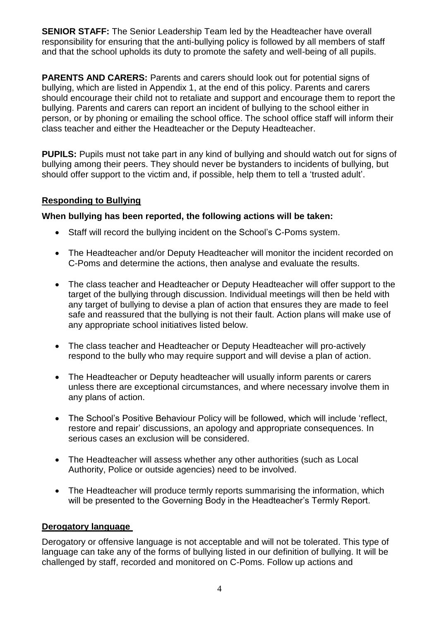**SENIOR STAFF:** The Senior Leadership Team led by the Headteacher have overall responsibility for ensuring that the anti-bullying policy is followed by all members of staff and that the school upholds its duty to promote the safety and well-being of all pupils.

**PARENTS AND CARERS:** Parents and carers should look out for potential signs of bullying, which are listed in Appendix 1, at the end of this policy. Parents and carers should encourage their child not to retaliate and support and encourage them to report the bullying. Parents and carers can report an incident of bullying to the school either in person, or by phoning or emailing the school office. The school office staff will inform their class teacher and either the Headteacher or the Deputy Headteacher.

**PUPILS:** Pupils must not take part in any kind of bullying and should watch out for signs of bullying among their peers. They should never be bystanders to incidents of bullying, but should offer support to the victim and, if possible, help them to tell a 'trusted adult'.

#### **Responding to Bullying**

#### **When bullying has been reported, the following actions will be taken:**

- Staff will record the bullying incident on the School's C-Poms system.
- The Headteacher and/or Deputy Headteacher will monitor the incident recorded on C-Poms and determine the actions, then analyse and evaluate the results.
- The class teacher and Headteacher or Deputy Headteacher will offer support to the target of the bullying through discussion. Individual meetings will then be held with any target of bullying to devise a plan of action that ensures they are made to feel safe and reassured that the bullying is not their fault. Action plans will make use of any appropriate school initiatives listed below.
- The class teacher and Headteacher or Deputy Headteacher will pro-actively respond to the bully who may require support and will devise a plan of action.
- The Headteacher or Deputy headteacher will usually inform parents or carers unless there are exceptional circumstances, and where necessary involve them in any plans of action.
- The School's Positive Behaviour Policy will be followed, which will include 'reflect, restore and repair' discussions, an apology and appropriate consequences. In serious cases an exclusion will be considered.
- The Headteacher will assess whether any other authorities (such as Local Authority, Police or outside agencies) need to be involved.
- The Headteacher will produce termly reports summarising the information, which will be presented to the Governing Body in the Headteacher's Termly Report.

#### **Derogatory language**

Derogatory or offensive language is not acceptable and will not be tolerated. This type of language can take any of the forms of bullying listed in our definition of bullying. It will be challenged by staff, recorded and monitored on C-Poms. Follow up actions and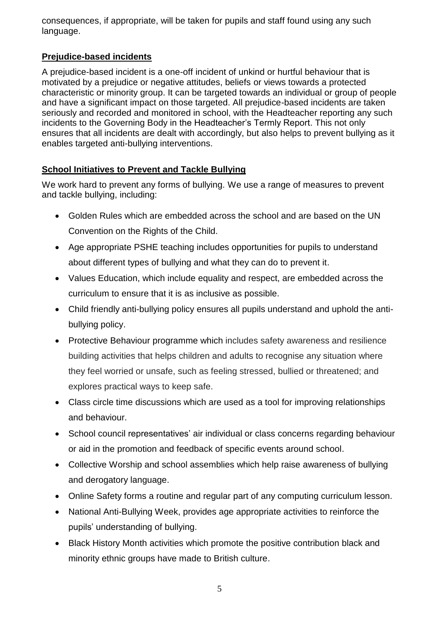consequences, if appropriate, will be taken for pupils and staff found using any such language.

## **Prejudice-based incidents**

A prejudice-based incident is a one-off incident of unkind or hurtful behaviour that is motivated by a prejudice or negative attitudes, beliefs or views towards a protected characteristic or minority group. It can be targeted towards an individual or group of people and have a significant impact on those targeted. All prejudice-based incidents are taken seriously and recorded and monitored in school, with the Headteacher reporting any such incidents to the Governing Body in the Headteacher's Termly Report. This not only ensures that all incidents are dealt with accordingly, but also helps to prevent bullying as it enables targeted anti-bullying interventions.

## **School Initiatives to Prevent and Tackle Bullying**

We work hard to prevent any forms of bullying. We use a range of measures to prevent and tackle bullying, including:

- Golden Rules which are embedded across the school and are based on the UN Convention on the Rights of the Child.
- Age appropriate PSHE teaching includes opportunities for pupils to understand about different types of bullying and what they can do to prevent it.
- Values Education, which include equality and respect, are embedded across the curriculum to ensure that it is as inclusive as possible.
- Child friendly anti-bullying policy ensures all pupils understand and uphold the antibullying policy.
- Protective Behaviour programme which includes safety awareness and resilience building activities that helps children and adults to recognise any situation where they feel worried or unsafe, such as feeling stressed, bullied or threatened; and explores practical ways to keep safe.
- Class circle time discussions which are used as a tool for improving relationships and behaviour.
- School council representatives' air individual or class concerns regarding behaviour or aid in the promotion and feedback of specific events around school.
- Collective Worship and school assemblies which help raise awareness of bullying and derogatory language.
- Online Safety forms a routine and regular part of any computing curriculum lesson.
- National Anti-Bullying Week, provides age appropriate activities to reinforce the pupils' understanding of bullying.
- Black History Month activities which promote the positive contribution black and minority ethnic groups have made to British culture.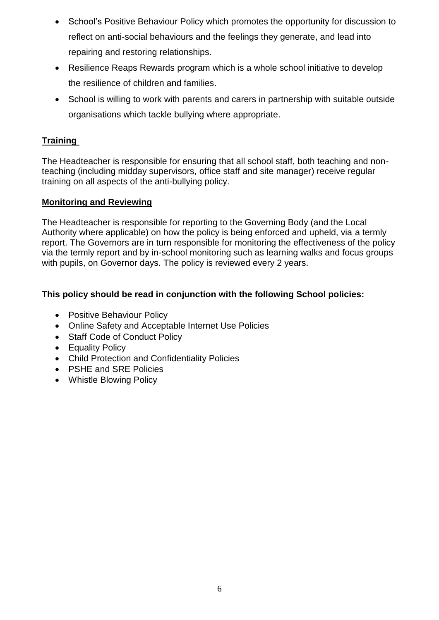- School's Positive Behaviour Policy which promotes the opportunity for discussion to reflect on anti-social behaviours and the feelings they generate, and lead into repairing and restoring relationships.
- Resilience Reaps Rewards program which is a whole school initiative to develop the resilience of children and families.
- School is willing to work with parents and carers in partnership with suitable outside organisations which tackle bullying where appropriate.

## **Training**

The Headteacher is responsible for ensuring that all school staff, both teaching and nonteaching (including midday supervisors, office staff and site manager) receive regular training on all aspects of the anti-bullying policy.

#### **Monitoring and Reviewing**

The Headteacher is responsible for reporting to the Governing Body (and the Local Authority where applicable) on how the policy is being enforced and upheld, via a termly report. The Governors are in turn responsible for monitoring the effectiveness of the policy via the termly report and by in-school monitoring such as learning walks and focus groups with pupils, on Governor days. The policy is reviewed every 2 years.

#### **This policy should be read in conjunction with the following School policies:**

- Positive Behaviour Policy
- Online Safety and Acceptable Internet Use Policies
- Staff Code of Conduct Policy
- Equality Policy
- Child Protection and Confidentiality Policies
- PSHE and SRE Policies
- Whistle Blowing Policy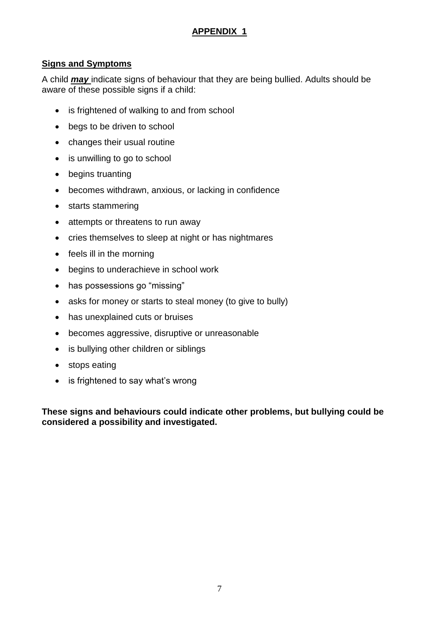## **APPENDIX 1**

#### **Signs and Symptoms**

A child *may* indicate signs of behaviour that they are being bullied. Adults should be aware of these possible signs if a child:

- is frightened of walking to and from school
- begs to be driven to school
- changes their usual routine
- is unwilling to go to school
- begins truanting
- becomes withdrawn, anxious, or lacking in confidence
- starts stammering
- attempts or threatens to run away
- cries themselves to sleep at night or has nightmares
- $\bullet$  feels ill in the morning
- begins to underachieve in school work
- has possessions go "missing"
- asks for money or starts to steal money (to give to bully)
- has unexplained cuts or bruises
- becomes aggressive, disruptive or unreasonable
- is bullying other children or siblings
- stops eating
- is frightened to say what's wrong

**These signs and behaviours could indicate other problems, but bullying could be considered a possibility and investigated.**